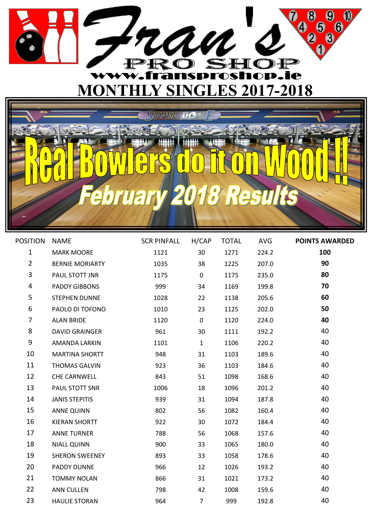

## UMPER  $\mathbf{0}$  $\overline{\mathbb{Q}}$  $\frac{D}{\Lambda}$  $\hat{\mathbf{z}}$ E  $\ddot{\bm{0}}$ ar

| POSITION       | <b>NAME</b>            | SCR PINFALL H/CAP |                | TOTAL | AVG   | <b>POINTS AWARDED</b> |
|----------------|------------------------|-------------------|----------------|-------|-------|-----------------------|
| $\mathbf{1}$   | <b>MARK MOORE</b>      | 1121              | 30             | 1271  | 224.2 | 100                   |
| $2^{\circ}$    | <b>BERNIE MORIARTY</b> | 1035              | 38             | 1225  | 207.0 | 90                    |
| $\overline{3}$ | PAUL STOTT JNR         | 1175              | $\mathbf 0$    | 1175  | 235.0 | 80                    |
| 4              | PADDY GIBBONS          | 999               | 34             | 1169  | 199.8 | 70                    |
| 5              | STEPHEN DUNNE          | 1028              | 22             | 1138  | 205.6 | 60                    |
| 6              | PAOLO DI TOFONO        | 1010              | 23             | 1125  | 202.0 | 50                    |
| $\overline{7}$ | <b>ALAN BRIDE</b>      | 1120              | $\mathbf 0$    | 1120  | 224.0 | 40                    |
| 8              | <b>DAVID GRAINGER</b>  | 961               | 30             | 1111  | 192.2 | 40                    |
| 9              | AMANDA LARKIN          | 1101              | $\mathbf{1}$   | 1106  | 220.2 | 40                    |
| 10             | <b>MARTINA SHORTT</b>  | 948               | 31             | 1103  | 189.6 | 40                    |
| 11             | <b>THOMAS GALVIN</b>   | 923               | 36             | 1103  | 184.6 | 40                    |
| 12             | CHE CARNWELL           | 843               | 51             | 1098  | 168.6 | 40                    |
| 13             | PAUL STOTT SNR         | 1006              | 18             | 1096  | 201.2 | 40                    |
| 14             | <b>JANIS STEPITIS</b>  | 939               | 31             | 1094  | 187.8 | 40                    |
| 15             | <b>ANNE QUINN</b>      | 802               | 56             | 1082  | 160.4 | 40                    |
| 16             | <b>KIERAN SHORTT</b>   | 922               | 30             | 1072  | 184.4 | 40                    |
| 17             | <b>ANNE TURNER</b>     | 788               | 56             | 1068  | 157.6 | 40                    |
| 18             | <b>NIALL QUINN</b>     | 900               | 33             | 1065  | 180.0 | 40                    |
| 19             | <b>SHERON SWEENEY</b>  | 893               | 33             | 1058  | 178.6 | 40                    |
| 20             | PADDY DUNNE            | 966               | 12             | 1026  | 193.2 | 40                    |
| 21             | <b>TOMMY NOLAN</b>     | 866               | 31             | 1021  | 173.2 | 40                    |
| 22             | <b>ANN CULLEN</b>      | 798               | 42             | 1008  | 159.6 | 40                    |
| 23             | <b>HAULIE STORAN</b>   | 964               | $\overline{7}$ | 999   | 192.8 | 40                    |
|                |                        |                   |                |       |       |                       |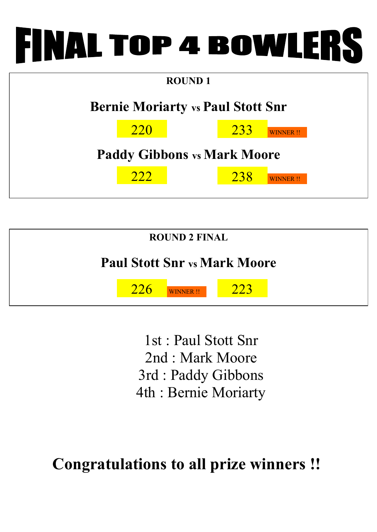

| <b>ROUND 1</b>                           |                                    |  |     |                 |  |  |  |  |
|------------------------------------------|------------------------------------|--|-----|-----------------|--|--|--|--|
| <b>Bernie Moriarty vs Paul Stott Snr</b> |                                    |  |     |                 |  |  |  |  |
| <b>220</b><br>233<br>WINNER !!           |                                    |  |     |                 |  |  |  |  |
|                                          | <b>Paddy Gibbons vs Mark Moore</b> |  |     |                 |  |  |  |  |
|                                          | 222                                |  | 238 | <b>WINNER!!</b> |  |  |  |  |
|                                          |                                    |  |     |                 |  |  |  |  |



1st : Paul Stott Snr 2nd : Mark Moore 3rd : Paddy Gibbons 4th : Bernie Moriarty

**Congratulations to all prize winners !!**